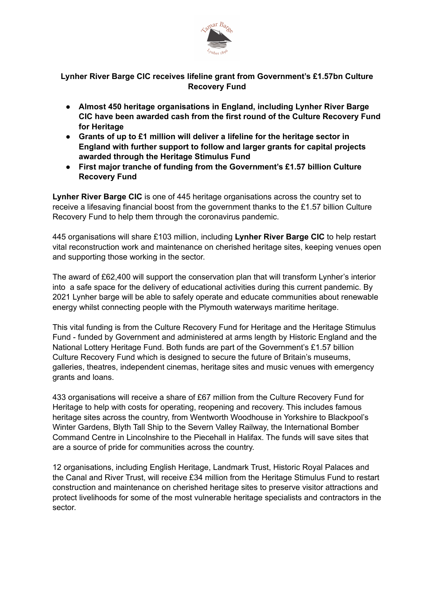

## **Lynher River Barge CIC receives lifeline grant from Government's £1.57bn Culture Recovery Fund**

- **● Almost 450 heritage organisations in England, including Lynher River Barge CIC have been awarded cash from the first round of the Culture Recovery Fund for Heritage**
- **● Grants of up to £1 million will deliver a lifeline for the heritage sector in England with further support to follow and larger grants for capital projects awarded through the Heritage Stimulus Fund**
- **● First major tranche of funding from the Government's £1.57 billion Culture Recovery Fund**

**Lynher River Barge CIC** is one of 445 heritage organisations across the country set to receive a lifesaving financial boost from the government thanks to the £1.57 billion Culture Recovery Fund to help them through the coronavirus pandemic.

445 organisations will share £103 million, including **Lynher River Barge CIC** to help restart vital reconstruction work and maintenance on cherished heritage sites, keeping venues open and supporting those working in the sector.

The award of £62,400 will support the conservation plan that will transform Lynher's interior into a safe space for the delivery of educational activities during this current pandemic. By 2021 Lynher barge will be able to safely operate and educate communities about renewable energy whilst connecting people with the Plymouth waterways maritime heritage.

This vital funding is from the Culture Recovery Fund for Heritage and the Heritage Stimulus Fund - funded by Government and administered at arms length by Historic England and the National Lottery Heritage Fund. Both funds are part of the Government's £1.57 billion Culture Recovery Fund which is designed to secure the future of Britain's museums, galleries, theatres, independent cinemas, heritage sites and music venues with emergency grants and loans.

433 organisations will receive a share of £67 million from the Culture Recovery Fund for Heritage to help with costs for operating, reopening and recovery. This includes famous heritage sites across the country, from Wentworth Woodhouse in Yorkshire to Blackpool's Winter Gardens, Blyth Tall Ship to the Severn Valley Railway, the International Bomber Command Centre in Lincolnshire to the Piecehall in Halifax. The funds will save sites that are a source of pride for communities across the country.

12 organisations, including English Heritage, Landmark Trust, Historic Royal Palaces and the Canal and River Trust, will receive £34 million from the Heritage Stimulus Fund to restart construction and maintenance on cherished heritage sites to preserve visitor attractions and protect livelihoods for some of the most vulnerable heritage specialists and contractors in the sector.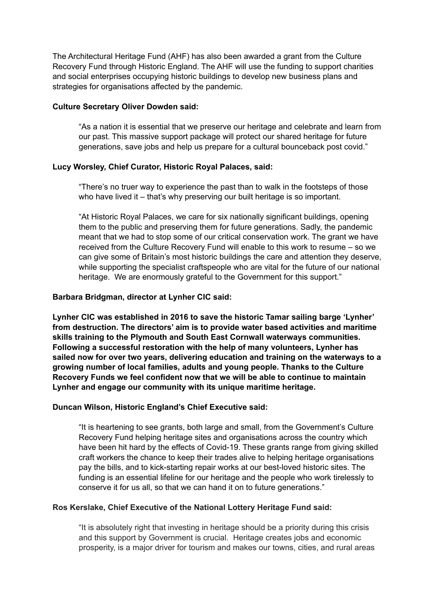The Architectural Heritage Fund (AHF) has also been awarded a grant from the Culture Recovery Fund through Historic England. The AHF will use the funding to support charities and social enterprises occupying historic buildings to develop new business plans and strategies for organisations affected by the pandemic.

### **Culture Secretary Oliver Dowden said:**

"As a nation it is essential that we preserve our heritage and celebrate and learn from our past. This massive support package will protect our shared heritage for future generations, save jobs and help us prepare for a cultural bounceback post covid."

## **Lucy Worsley, Chief Curator, Historic Royal Palaces, said:**

"There's no truer way to experience the past than to walk in the footsteps of those who have lived it – that's why preserving our built heritage is so important.

"At Historic Royal Palaces, we care for six nationally significant buildings, opening them to the public and preserving them for future generations. Sadly, the pandemic meant that we had to stop some of our critical conservation work. The grant we have received from the Culture Recovery Fund will enable to this work to resume – so we can give some of Britain's most historic buildings the care and attention they deserve, while supporting the specialist craftspeople who are vital for the future of our national heritage. We are enormously grateful to the Government for this support."

## **Barbara Bridgman, director at Lynher CIC said:**

**Lynher CIC was established in 2016 to save the historic Tamar sailing barge 'Lynher' from destruction. The directors' aim is to provide water based activities and maritime skills training to the Plymouth and South East Cornwall waterways communities. Following a successful restoration with the help of many volunteers, Lynher has sailed now for over two years, delivering education and training on the waterways to a growing number of local families, adults and young people. Thanks to the Culture Recovery Funds we feel confident now that we will be able to continue to maintain Lynher and engage our community with its unique maritime heritage.** 

### **Duncan Wilson, Historic England's Chief Executive said:**

"It is heartening to see grants, both large and small, from the Government's Culture Recovery Fund helping heritage sites and organisations across the country which have been hit hard by the effects of Covid-19. These grants range from giving skilled craft workers the chance to keep their trades alive to helping heritage organisations pay the bills, and to kick-starting repair works at our best-loved historic sites. The funding is an essential lifeline for our heritage and the people who work tirelessly to conserve it for us all, so that we can hand it on to future generations."

### **Ros Kerslake, Chief Executive of the National Lottery Heritage Fund said:**

"It is absolutely right that investing in heritage should be a priority during this crisis and this support by Government is crucial. Heritage creates jobs and economic prosperity, is a major driver for tourism and makes our towns, cities, and rural areas